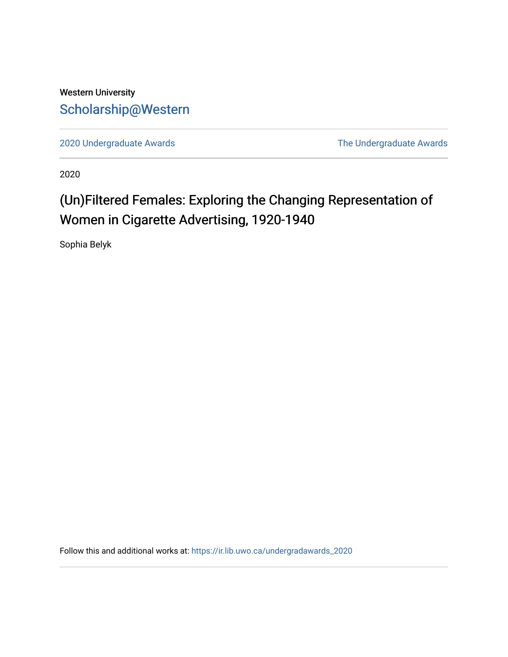## Western University [Scholarship@Western](https://ir.lib.uwo.ca/)

[2020 Undergraduate Awards](https://ir.lib.uwo.ca/undergradawards_2020) [The Undergraduate Awards](https://ir.lib.uwo.ca/ungradawards) 

2020

# (Un)Filtered Females: Exploring the Changing Representation of Women in Cigarette Advertising, 1920-1940

Sophia Belyk

Follow this and additional works at: [https://ir.lib.uwo.ca/undergradawards\\_2020](https://ir.lib.uwo.ca/undergradawards_2020?utm_source=ir.lib.uwo.ca%2Fundergradawards_2020%2F10&utm_medium=PDF&utm_campaign=PDFCoverPages)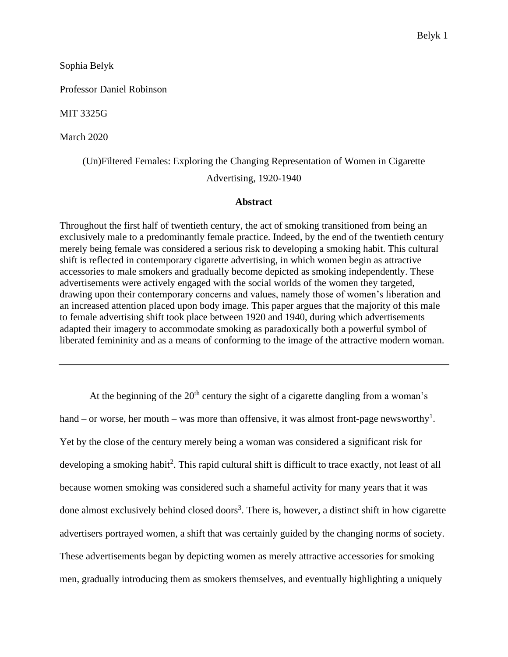Sophia Belyk

Professor Daniel Robinson

MIT 3325G

March 2020

(Un)Filtered Females: Exploring the Changing Representation of Women in Cigarette

Advertising, 1920-1940

#### **Abstract**

Throughout the first half of twentieth century, the act of smoking transitioned from being an exclusively male to a predominantly female practice. Indeed, by the end of the twentieth century merely being female was considered a serious risk to developing a smoking habit. This cultural shift is reflected in contemporary cigarette advertising, in which women begin as attractive accessories to male smokers and gradually become depicted as smoking independently. These advertisements were actively engaged with the social worlds of the women they targeted, drawing upon their contemporary concerns and values, namely those of women's liberation and an increased attention placed upon body image. This paper argues that the majority of this male to female advertising shift took place between 1920 and 1940, during which advertisements adapted their imagery to accommodate smoking as paradoxically both a powerful symbol of liberated femininity and as a means of conforming to the image of the attractive modern woman.

At the beginning of the  $20<sup>th</sup>$  century the sight of a cigarette dangling from a woman's hand – or worse, her mouth – was more than offensive, it was almost front-page newsworthy<sup>1</sup>. Yet by the close of the century merely being a woman was considered a significant risk for developing a smoking habit<sup>2</sup>. This rapid cultural shift is difficult to trace exactly, not least of all because women smoking was considered such a shameful activity for many years that it was done almost exclusively behind closed doors<sup>3</sup>. There is, however, a distinct shift in how cigarette advertisers portrayed women, a shift that was certainly guided by the changing norms of society. These advertisements began by depicting women as merely attractive accessories for smoking men, gradually introducing them as smokers themselves, and eventually highlighting a uniquely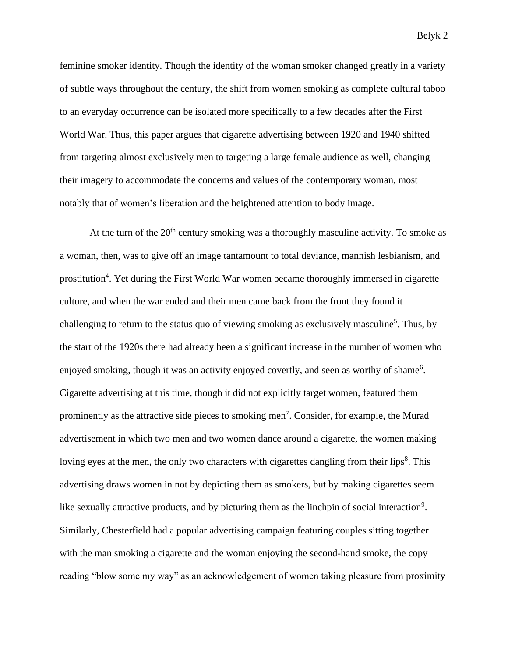feminine smoker identity. Though the identity of the woman smoker changed greatly in a variety of subtle ways throughout the century, the shift from women smoking as complete cultural taboo to an everyday occurrence can be isolated more specifically to a few decades after the First World War. Thus, this paper argues that cigarette advertising between 1920 and 1940 shifted from targeting almost exclusively men to targeting a large female audience as well, changing their imagery to accommodate the concerns and values of the contemporary woman, most notably that of women's liberation and the heightened attention to body image.

At the turn of the  $20<sup>th</sup>$  century smoking was a thoroughly masculine activity. To smoke as a woman, then, was to give off an image tantamount to total deviance, mannish lesbianism, and prostitution<sup>4</sup>. Yet during the First World War women became thoroughly immersed in cigarette culture, and when the war ended and their men came back from the front they found it challenging to return to the status quo of viewing smoking as exclusively masculine<sup>5</sup>. Thus, by the start of the 1920s there had already been a significant increase in the number of women who enjoyed smoking, though it was an activity enjoyed covertly, and seen as worthy of shame<sup>6</sup>. Cigarette advertising at this time, though it did not explicitly target women, featured them prominently as the attractive side pieces to smoking men<sup>7</sup>. Consider, for example, the Murad advertisement in which two men and two women dance around a cigarette, the women making loving eyes at the men, the only two characters with cigarettes dangling from their lips<sup>8</sup>. This advertising draws women in not by depicting them as smokers, but by making cigarettes seem like sexually attractive products, and by picturing them as the linchpin of social interaction<sup>9</sup>. Similarly, Chesterfield had a popular advertising campaign featuring couples sitting together with the man smoking a cigarette and the woman enjoying the second-hand smoke, the copy reading "blow some my way" as an acknowledgement of women taking pleasure from proximity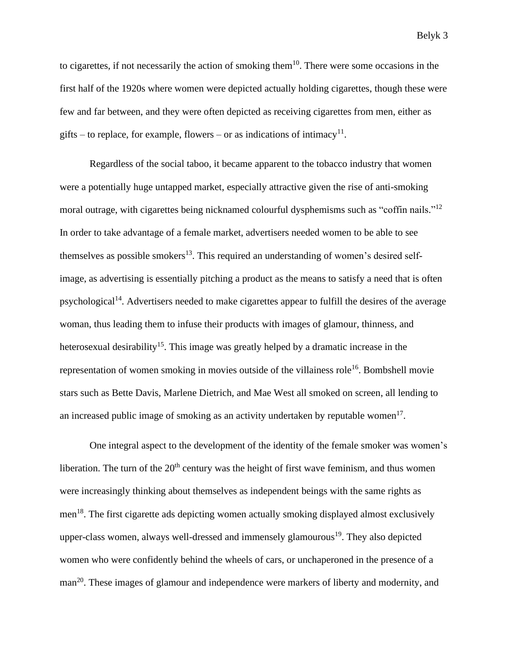to cigarettes, if not necessarily the action of smoking them $10$ . There were some occasions in the first half of the 1920s where women were depicted actually holding cigarettes, though these were few and far between, and they were often depicted as receiving cigarettes from men, either as gifts – to replace, for example, flowers – or as indications of intimacy<sup>11</sup>.

Regardless of the social taboo, it became apparent to the tobacco industry that women were a potentially huge untapped market, especially attractive given the rise of anti-smoking moral outrage, with cigarettes being nicknamed colourful dysphemisms such as "coffin nails."<sup>12</sup> In order to take advantage of a female market, advertisers needed women to be able to see themselves as possible smokers<sup>13</sup>. This required an understanding of women's desired selfimage, as advertising is essentially pitching a product as the means to satisfy a need that is often psychological<sup>14</sup>. Advertisers needed to make cigarettes appear to fulfill the desires of the average woman, thus leading them to infuse their products with images of glamour, thinness, and heterosexual desirability<sup>15</sup>. This image was greatly helped by a dramatic increase in the representation of women smoking in movies outside of the villainess role<sup>16</sup>. Bombshell movie stars such as Bette Davis, Marlene Dietrich, and Mae West all smoked on screen, all lending to an increased public image of smoking as an activity undertaken by reputable women $17$ .

One integral aspect to the development of the identity of the female smoker was women's liberation. The turn of the  $20<sup>th</sup>$  century was the height of first wave feminism, and thus women were increasingly thinking about themselves as independent beings with the same rights as men<sup>18</sup>. The first cigarette ads depicting women actually smoking displayed almost exclusively upper-class women, always well-dressed and immensely glamourous<sup>19</sup>. They also depicted women who were confidently behind the wheels of cars, or unchaperoned in the presence of a man<sup>20</sup>. These images of glamour and independence were markers of liberty and modernity, and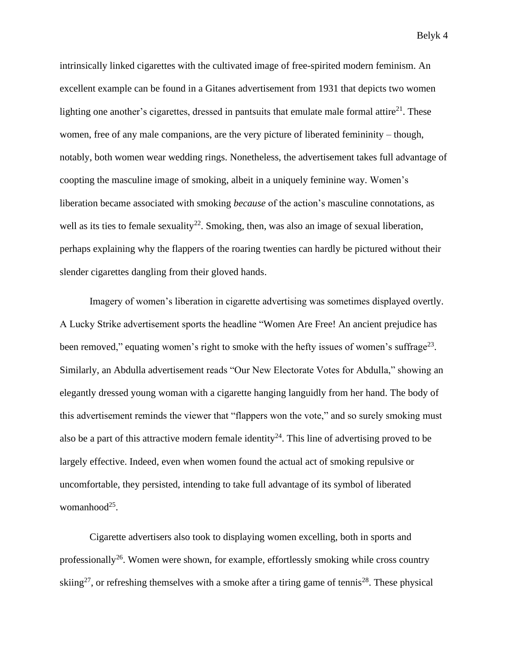intrinsically linked cigarettes with the cultivated image of free-spirited modern feminism. An excellent example can be found in a Gitanes advertisement from 1931 that depicts two women lighting one another's cigarettes, dressed in pantsuits that emulate male formal attire $^{21}$ . These women, free of any male companions, are the very picture of liberated femininity – though, notably, both women wear wedding rings. Nonetheless, the advertisement takes full advantage of coopting the masculine image of smoking, albeit in a uniquely feminine way. Women's liberation became associated with smoking *because* of the action's masculine connotations, as well as its ties to female sexuality<sup>22</sup>. Smoking, then, was also an image of sexual liberation, perhaps explaining why the flappers of the roaring twenties can hardly be pictured without their slender cigarettes dangling from their gloved hands.

Imagery of women's liberation in cigarette advertising was sometimes displayed overtly. A Lucky Strike advertisement sports the headline "Women Are Free! An ancient prejudice has been removed," equating women's right to smoke with the hefty issues of women's suffrage<sup>23</sup>. Similarly, an Abdulla advertisement reads "Our New Electorate Votes for Abdulla," showing an elegantly dressed young woman with a cigarette hanging languidly from her hand. The body of this advertisement reminds the viewer that "flappers won the vote," and so surely smoking must also be a part of this attractive modern female identity<sup>24</sup>. This line of advertising proved to be largely effective. Indeed, even when women found the actual act of smoking repulsive or uncomfortable, they persisted, intending to take full advantage of its symbol of liberated womanhood<sup>25</sup>.

Cigarette advertisers also took to displaying women excelling, both in sports and professionally<sup>26</sup>. Women were shown, for example, effortlessly smoking while cross country skiing<sup>27</sup>, or refreshing themselves with a smoke after a tiring game of tennis<sup>28</sup>. These physical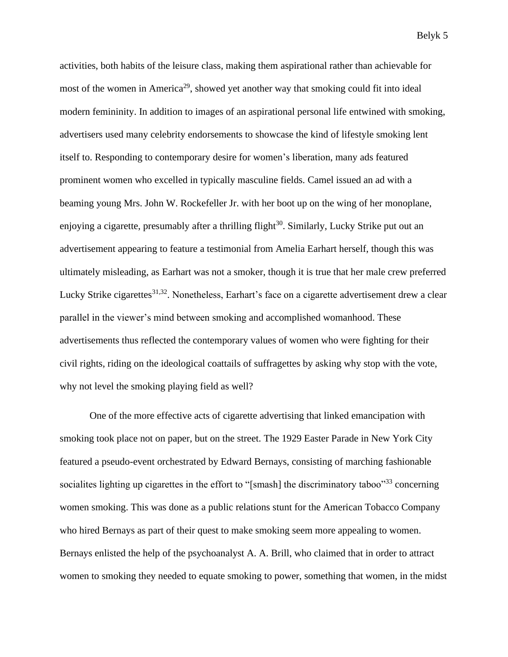activities, both habits of the leisure class, making them aspirational rather than achievable for most of the women in America<sup>29</sup>, showed yet another way that smoking could fit into ideal modern femininity. In addition to images of an aspirational personal life entwined with smoking, advertisers used many celebrity endorsements to showcase the kind of lifestyle smoking lent itself to. Responding to contemporary desire for women's liberation, many ads featured prominent women who excelled in typically masculine fields. Camel issued an ad with a beaming young Mrs. John W. Rockefeller Jr. with her boot up on the wing of her monoplane, enjoying a cigarette, presumably after a thrilling flight<sup>30</sup>. Similarly, Lucky Strike put out an advertisement appearing to feature a testimonial from Amelia Earhart herself, though this was ultimately misleading, as Earhart was not a smoker, though it is true that her male crew preferred Lucky Strike cigarettes<sup>31,32</sup>. Nonetheless, Earhart's face on a cigarette advertisement drew a clear parallel in the viewer's mind between smoking and accomplished womanhood. These advertisements thus reflected the contemporary values of women who were fighting for their civil rights, riding on the ideological coattails of suffragettes by asking why stop with the vote, why not level the smoking playing field as well?

One of the more effective acts of cigarette advertising that linked emancipation with smoking took place not on paper, but on the street. The 1929 Easter Parade in New York City featured a pseudo-event orchestrated by Edward Bernays, consisting of marching fashionable socialites lighting up cigarettes in the effort to "[smash] the discriminatory taboo"<sup>33</sup> concerning women smoking. This was done as a public relations stunt for the American Tobacco Company who hired Bernays as part of their quest to make smoking seem more appealing to women. Bernays enlisted the help of the psychoanalyst A. A. Brill, who claimed that in order to attract women to smoking they needed to equate smoking to power, something that women, in the midst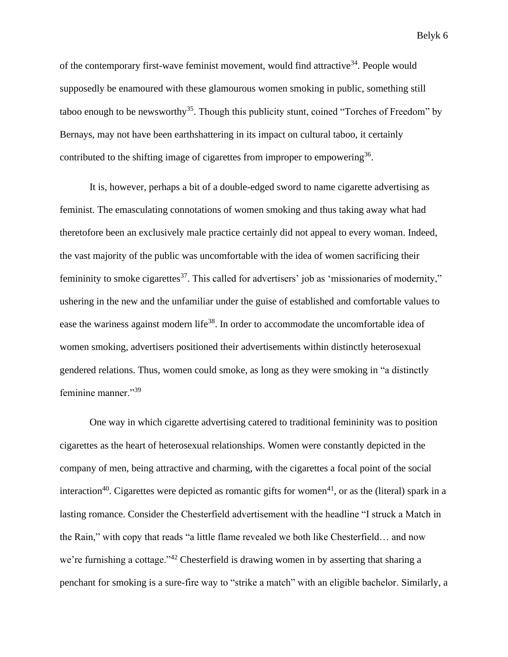of the contemporary first-wave feminist movement, would find attractive<sup>34</sup>. People would supposedly be enamoured with these glamourous women smoking in public, something still taboo enough to be newsworthy<sup>35</sup>. Though this publicity stunt, coined "Torches of Freedom" by Bernays, may not have been earthshattering in its impact on cultural taboo, it certainly contributed to the shifting image of cigarettes from improper to empowering<sup>36</sup>.

It is, however, perhaps a bit of a double-edged sword to name cigarette advertising as feminist. The emasculating connotations of women smoking and thus taking away what had theretofore been an exclusively male practice certainly did not appeal to every woman. Indeed, the vast majority of the public was uncomfortable with the idea of women sacrificing their femininity to smoke cigarettes<sup>37</sup>. This called for advertisers' job as 'missionaries of modernity," ushering in the new and the unfamiliar under the guise of established and comfortable values to ease the wariness against modern life<sup>38</sup>. In order to accommodate the uncomfortable idea of women smoking, advertisers positioned their advertisements within distinctly heterosexual gendered relations. Thus, women could smoke, as long as they were smoking in "a distinctly feminine manner."39

One way in which cigarette advertising catered to traditional femininity was to position cigarettes as the heart of heterosexual relationships. Women were constantly depicted in the company of men, being attractive and charming, with the cigarettes a focal point of the social interaction<sup>40</sup>. Cigarettes were depicted as romantic gifts for women<sup>41</sup>, or as the (literal) spark in a lasting romance. Consider the Chesterfield advertisement with the headline "I struck a Match in the Rain," with copy that reads "a little flame revealed we both like Chesterfield… and now we're furnishing a cottage."<sup>42</sup> Chesterfield is drawing women in by asserting that sharing a penchant for smoking is a sure-fire way to "strike a match" with an eligible bachelor. Similarly, a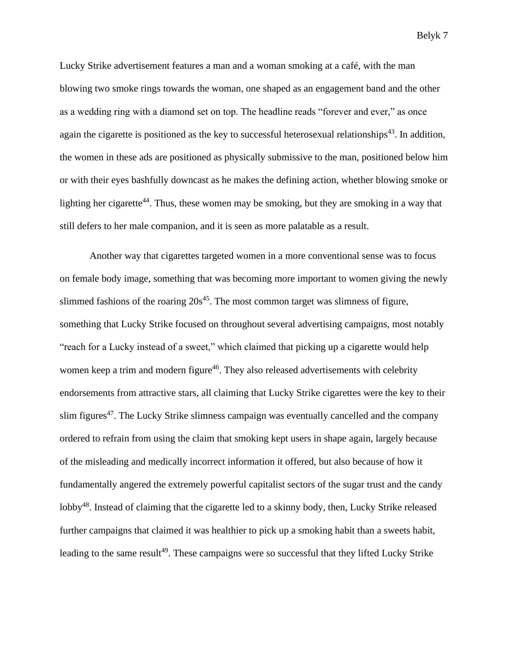Lucky Strike advertisement features a man and a woman smoking at a café, with the man blowing two smoke rings towards the woman, one shaped as an engagement band and the other as a wedding ring with a diamond set on top. The headline reads "forever and ever," as once again the cigarette is positioned as the key to successful heterosexual relationships<sup>43</sup>. In addition, the women in these ads are positioned as physically submissive to the man, positioned below him or with their eyes bashfully downcast as he makes the defining action, whether blowing smoke or lighting her cigarette<sup>44</sup>. Thus, these women may be smoking, but they are smoking in a way that still defers to her male companion, and it is seen as more palatable as a result.

Another way that cigarettes targeted women in a more conventional sense was to focus on female body image, something that was becoming more important to women giving the newly slimmed fashions of the roaring  $20s^{45}$ . The most common target was slimness of figure, something that Lucky Strike focused on throughout several advertising campaigns, most notably "reach for a Lucky instead of a sweet," which claimed that picking up a cigarette would help women keep a trim and modern figure<sup>46</sup>. They also released advertisements with celebrity endorsements from attractive stars, all claiming that Lucky Strike cigarettes were the key to their slim figures<sup>47</sup>. The Lucky Strike slimness campaign was eventually cancelled and the company ordered to refrain from using the claim that smoking kept users in shape again, largely because of the misleading and medically incorrect information it offered, but also because of how it fundamentally angered the extremely powerful capitalist sectors of the sugar trust and the candy lobby<sup>48</sup>. Instead of claiming that the cigarette led to a skinny body, then, Lucky Strike released further campaigns that claimed it was healthier to pick up a smoking habit than a sweets habit, leading to the same result<sup>49</sup>. These campaigns were so successful that they lifted Lucky Strike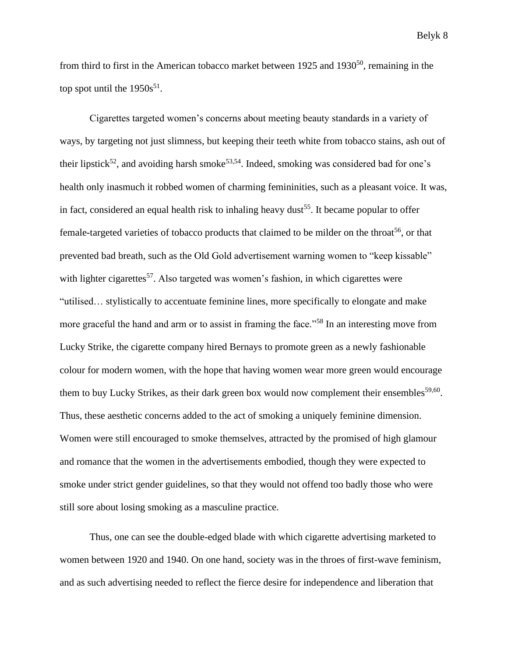from third to first in the American tobacco market between 1925 and 1930<sup>50</sup>, remaining in the top spot until the  $1950s^{51}$ .

Cigarettes targeted women's concerns about meeting beauty standards in a variety of ways, by targeting not just slimness, but keeping their teeth white from tobacco stains, ash out of their lipstick<sup>52</sup>, and avoiding harsh smoke<sup>53,54</sup>. Indeed, smoking was considered bad for one's health only inasmuch it robbed women of charming femininities, such as a pleasant voice. It was, in fact, considered an equal health risk to inhaling heavy dust<sup>55</sup>. It became popular to offer female-targeted varieties of tobacco products that claimed to be milder on the throat<sup>56</sup>, or that prevented bad breath, such as the Old Gold advertisement warning women to "keep kissable" with lighter cigarettes<sup>57</sup>. Also targeted was women's fashion, in which cigarettes were "utilised… stylistically to accentuate feminine lines, more specifically to elongate and make more graceful the hand and arm or to assist in framing the face."<sup>58</sup> In an interesting move from Lucky Strike, the cigarette company hired Bernays to promote green as a newly fashionable colour for modern women, with the hope that having women wear more green would encourage them to buy Lucky Strikes, as their dark green box would now complement their ensembles<sup>59,60</sup>. Thus, these aesthetic concerns added to the act of smoking a uniquely feminine dimension. Women were still encouraged to smoke themselves, attracted by the promised of high glamour and romance that the women in the advertisements embodied, though they were expected to smoke under strict gender guidelines, so that they would not offend too badly those who were still sore about losing smoking as a masculine practice.

Thus, one can see the double-edged blade with which cigarette advertising marketed to women between 1920 and 1940. On one hand, society was in the throes of first-wave feminism, and as such advertising needed to reflect the fierce desire for independence and liberation that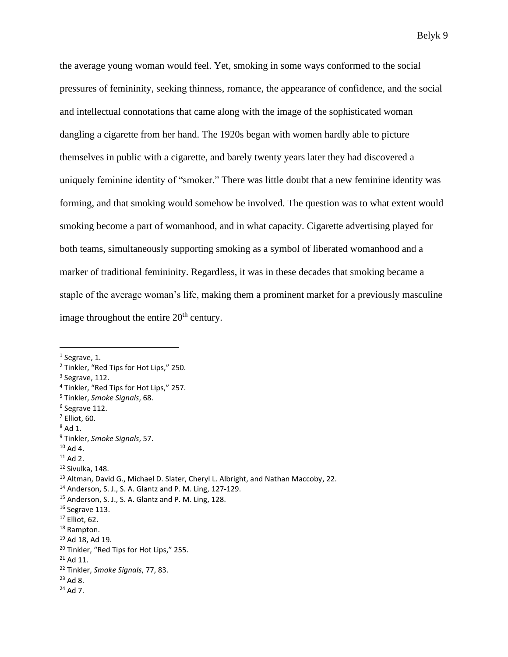the average young woman would feel. Yet, smoking in some ways conformed to the social pressures of femininity, seeking thinness, romance, the appearance of confidence, and the social and intellectual connotations that came along with the image of the sophisticated woman dangling a cigarette from her hand. The 1920s began with women hardly able to picture themselves in public with a cigarette, and barely twenty years later they had discovered a uniquely feminine identity of "smoker." There was little doubt that a new feminine identity was forming, and that smoking would somehow be involved. The question was to what extent would smoking become a part of womanhood, and in what capacity. Cigarette advertising played for both teams, simultaneously supporting smoking as a symbol of liberated womanhood and a marker of traditional femininity. Regardless, it was in these decades that smoking became a staple of the average woman's life, making them a prominent market for a previously masculine image throughout the entire  $20<sup>th</sup>$  century.

 $<sup>1</sup>$  Segrave, 1.</sup>

<sup>2</sup> Tinkler, "Red Tips for Hot Lips," 250.

<sup>&</sup>lt;sup>3</sup> Segrave, 112.

<sup>4</sup> Tinkler, "Red Tips for Hot Lips," 257.

<sup>5</sup> Tinkler, *Smoke Signals*, 68.

<sup>6</sup> Segrave 112.

 $<sup>7</sup>$  Elliot, 60.</sup>

 $8$  Ad 1.

<sup>9</sup> Tinkler, *Smoke Signals*, 57.

 $10$  Ad 4.

 $11$  Ad 2.

<sup>12</sup> Sivulka, 148.

<sup>&</sup>lt;sup>13</sup> Altman, David G., Michael D. Slater, Cheryl L. Albright, and Nathan Maccoby, 22.

<sup>14</sup> Anderson, S. J., S. A. Glantz and P. M. Ling, 127-129.

<sup>15</sup> Anderson, S. J., S. A. Glantz and P. M. Ling, 128.

<sup>&</sup>lt;sup>16</sup> Segrave 113.

<sup>17</sup> Elliot, 62.

<sup>18</sup> Rampton.

<sup>19</sup> Ad 18, Ad 19.

<sup>20</sup> Tinkler, "Red Tips for Hot Lips," 255.

<sup>21</sup> Ad 11.

<sup>22</sup> Tinkler, *Smoke Signals*, 77, 83.

<sup>23</sup> Ad 8.

 $24$  Ad 7.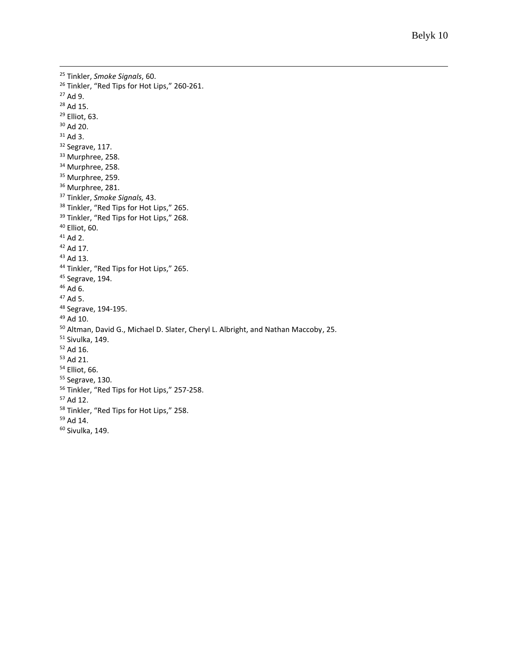```
25 Tinkler, Smoke Signals, 60.
<sup>26</sup> Tinkler, "Red Tips for Hot Lips," 260-261.
27 Ad 9.
28 Ad 15.
29 Elliot, 63.
30 Ad 20.
31 Ad 3.
32 Segrave, 117.
<sup>33</sup> Murphree, 258.
<sup>34</sup> Murphree, 258.
<sup>35</sup> Murphree, 259.
<sup>36</sup> Murphree, 281.
37 Tinkler, Smoke Signals, 43.
<sup>38</sup> Tinkler, "Red Tips for Hot Lips," 265.
<sup>39</sup> Tinkler, "Red Tips for Hot Lips," 268.
40 Elliot, 60.
41 Ad 2.
42 Ad 17.
43 Ad 13.
44 Tinkler, "Red Tips for Hot Lips," 265.
45 Segrave, 194.
46 Ad 6.
47 Ad 5.
48 Segrave, 194-195.
49 Ad 10.
50 Altman, David G., Michael D. Slater, Cheryl L. Albright, and Nathan Maccoby, 25.
51 Sivulka, 149.
52 Ad 16.
53 Ad 21.
54 Elliot, 66.
55 Segrave, 130.
56 Tinkler, "Red Tips for Hot Lips," 257-258.
57 Ad 12.
58 Tinkler, "Red Tips for Hot Lips," 258.
59 Ad 14.
60 Sivulka, 149.
```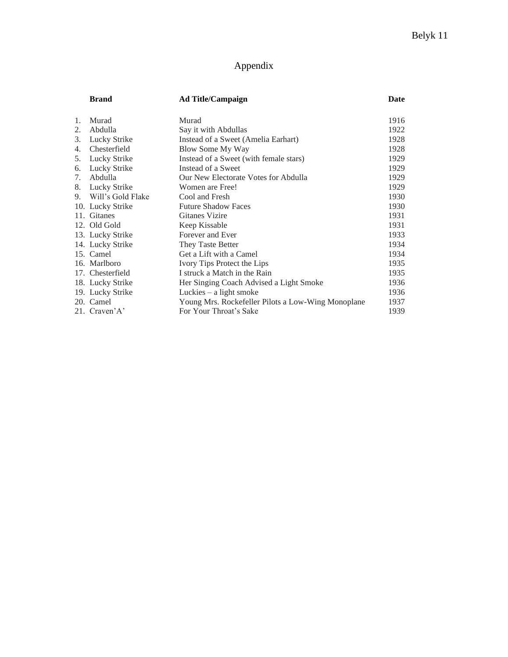### Appendix

|    | <b>Brand</b>         | <b>Ad Title/Campaign</b>                           | Date |
|----|----------------------|----------------------------------------------------|------|
| 1. | Murad                | Murad                                              | 1916 |
| 2. | Abdulla              | Say it with Abdullas                               | 1922 |
| 3. | Lucky Strike         | Instead of a Sweet (Amelia Earhart)                | 1928 |
| 4. | Chesterfield         | Blow Some My Way                                   | 1928 |
| 5. | Lucky Strike         | Instead of a Sweet (with female stars)             | 1929 |
| 6. | Lucky Strike         | Instead of a Sweet                                 | 1929 |
| 7. | Abdulla              | Our New Electorate Votes for Abdulla               | 1929 |
| 8. | Lucky Strike         | Women are Free!                                    | 1929 |
|    | 9. Will's Gold Flake | Cool and Fresh                                     | 1930 |
|    | 10. Lucky Strike     | <b>Future Shadow Faces</b>                         | 1930 |
|    | 11. Gitanes          | <b>Gitanes Vizire</b>                              | 1931 |
|    | 12. Old Gold         | Keep Kissable                                      | 1931 |
|    | 13. Lucky Strike     | Forever and Ever                                   | 1933 |
|    | 14. Lucky Strike     | They Taste Better                                  | 1934 |
|    | 15. Camel            | Get a Lift with a Camel                            | 1934 |
|    | 16. Marlboro         | Ivory Tips Protect the Lips                        | 1935 |
|    | 17. Chesterfield     | I struck a Match in the Rain                       | 1935 |
|    | 18. Lucky Strike     | Her Singing Coach Advised a Light Smoke            | 1936 |
|    | 19. Lucky Strike     | Luckies $-$ a light smoke                          | 1936 |
|    | 20. Camel            | Young Mrs. Rockefeller Pilots a Low-Wing Monoplane | 1937 |
|    | 21. Craven'A'        | For Your Throat's Sake                             | 1939 |